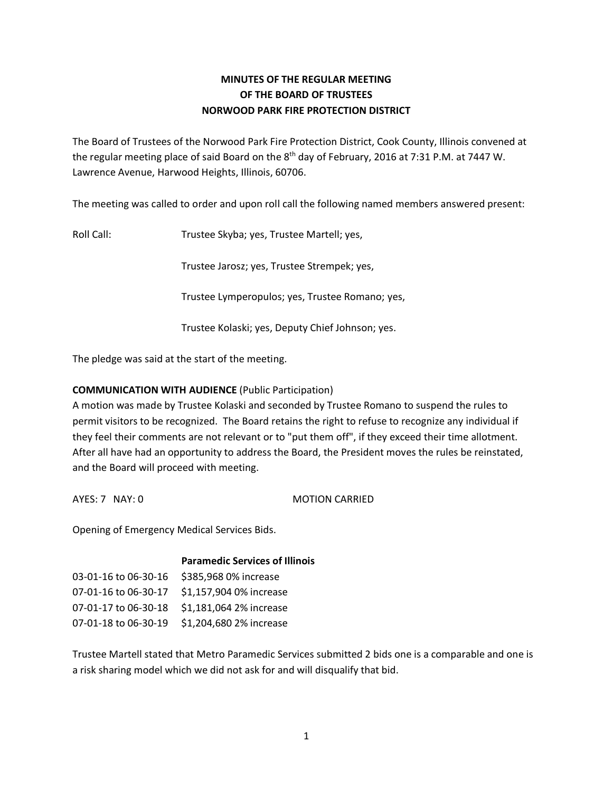# **MINUTES OF THE REGULAR MEETING OF THE BOARD OF TRUSTEES NORWOOD PARK FIRE PROTECTION DISTRICT**

The Board of Trustees of the Norwood Park Fire Protection District, Cook County, Illinois convened at the regular meeting place of said Board on the 8<sup>th</sup> day of February, 2016 at 7:31 P.M. at 7447 W. Lawrence Avenue, Harwood Heights, Illinois, 60706.

The meeting was called to order and upon roll call the following named members answered present:

Roll Call: Trustee Skyba; yes, Trustee Martell; yes,

Trustee Jarosz; yes, Trustee Strempek; yes,

Trustee Lymperopulos; yes, Trustee Romano; yes,

Trustee Kolaski; yes, Deputy Chief Johnson; yes.

The pledge was said at the start of the meeting.

# **COMMUNICATION WITH AUDIENCE** (Public Participation)

A motion was made by Trustee Kolaski and seconded by Trustee Romano to suspend the rules to permit visitors to be recognized. The Board retains the right to refuse to recognize any individual if they feel their comments are not relevant or to "put them off", if they exceed their time allotment. After all have had an opportunity to address the Board, the President moves the rules be reinstated, and the Board will proceed with meeting.

AYES: 7 NAY: 0 MOTION CARRIED

Opening of Emergency Medical Services Bids.

|                      | <b>Paramedic Services of Illinois</b> |
|----------------------|---------------------------------------|
| 03-01-16 to 06-30-16 | \$385,968 0% increase                 |
| 07-01-16 to 06-30-17 | \$1,157,904 0% increase               |
| 07-01-17 to 06-30-18 | \$1,181,064 2% increase               |
| 07-01-18 to 06-30-19 | \$1,204,680 2% increase               |

Trustee Martell stated that Metro Paramedic Services submitted 2 bids one is a comparable and one is a risk sharing model which we did not ask for and will disqualify that bid.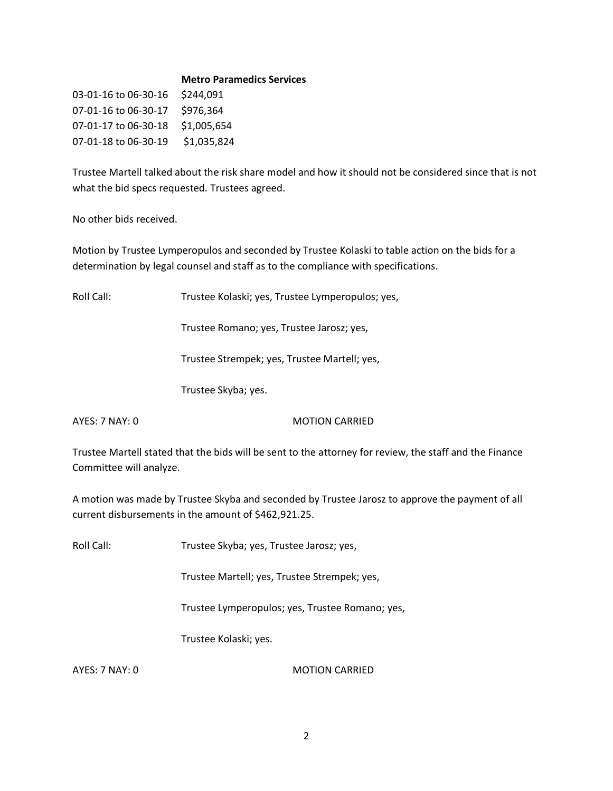#### **Metro Paramedics Services**

03-01-16 to 06-30-16 \$244,091 07-01-16 to 06-30-17 \$976,364 07-01-17 to 06-30-18 \$1,005,654 07-01-18 to 06-30-19 \$1,035,824

Trustee Martell talked about the risk share model and how it should not be considered since that is not what the bid specs requested. Trustees agreed.

No other bids received.

Motion by Trustee Lymperopulos and seconded by Trustee Kolaski to table action on the bids for a determination by legal counsel and staff as to the compliance with specifications.

Roll Call: Trustee Kolaski; yes, Trustee Lymperopulos; yes,

Trustee Romano; yes, Trustee Jarosz; yes,

Trustee Strempek; yes, Trustee Martell; yes,

Trustee Skyba; yes.

AYES: 7 NAY: 0 MOTION CARRIED

Trustee Martell stated that the bids will be sent to the attorney for review, the staff and the Finance Committee will analyze.

A motion was made by Trustee Skyba and seconded by Trustee Jarosz to approve the payment of all current disbursements in the amount of \$462,921.25.

Roll Call: Trustee Skyba; yes, Trustee Jarosz; yes,

Trustee Martell; yes, Trustee Strempek; yes,

Trustee Lymperopulos; yes, Trustee Romano; yes,

Trustee Kolaski; yes.

AYES: 7 NAY: 0 MOTION CARRIED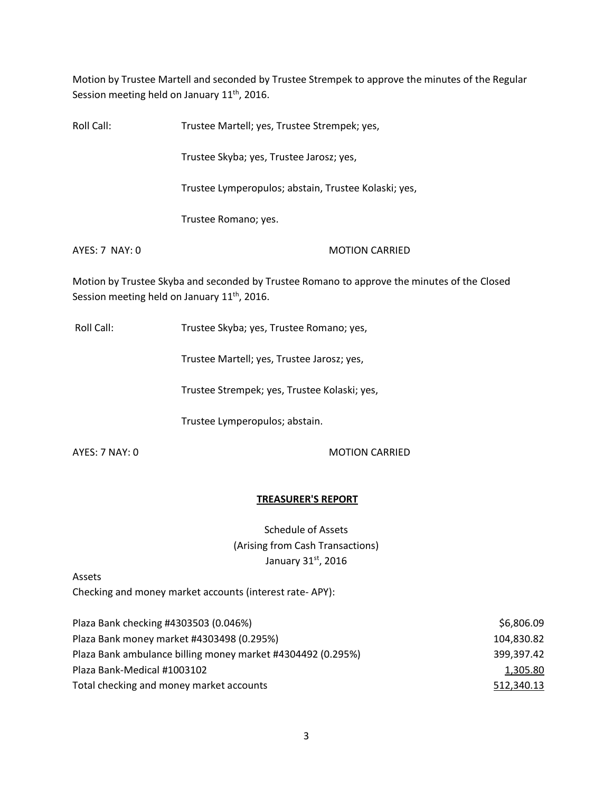Motion by Trustee Martell and seconded by Trustee Strempek to approve the minutes of the Regular Session meeting held on January 11<sup>th</sup>, 2016.

| Roll Call:     | Trustee Martell; yes, Trustee Strempek; yes,                                 |  |
|----------------|------------------------------------------------------------------------------|--|
|                | Trustee Skyba; yes, Trustee Jarosz; yes,                                     |  |
|                | Trustee Lymperopulos; abstain, Trustee Kolaski; yes,                         |  |
|                | Trustee Romano; yes.                                                         |  |
| AYES: 7 NAY: 0 | <b>MOTION CARRIED</b>                                                        |  |
|                | Motion by Trustee Skyba and seconded by Trustee Romano to approve the minute |  |

es of the Closed Session meeting held on January 11<sup>th</sup>, 2016.

Roll Call: Trustee Skyba; yes, Trustee Romano; yes,

Trustee Martell; yes, Trustee Jarosz; yes,

Trustee Strempek; yes, Trustee Kolaski; yes,

Trustee Lymperopulos; abstain.

AYES: 7 NAY: 0 MOTION CARRIED

### **TREASURER'S REPORT**

Schedule of Assets (Arising from Cash Transactions) January 31st, 2016

Assets

Checking and money market accounts (interest rate- APY):

| Plaza Bank checking #4303503 (0.046%)                       | \$6,806.09 |
|-------------------------------------------------------------|------------|
| Plaza Bank money market #4303498 (0.295%)                   | 104,830.82 |
| Plaza Bank ambulance billing money market #4304492 (0.295%) | 399,397.42 |
| Plaza Bank-Medical #1003102                                 | 1,305.80   |
| Total checking and money market accounts                    | 512,340.13 |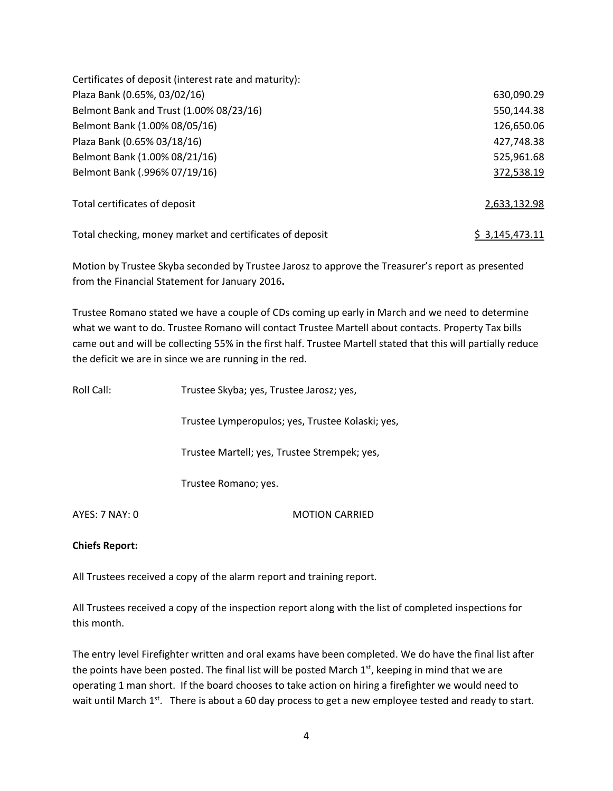| Certificates of deposit (interest rate and maturity):    |                |
|----------------------------------------------------------|----------------|
| Plaza Bank (0.65%, 03/02/16)                             | 630,090.29     |
| Belmont Bank and Trust (1.00% 08/23/16)                  | 550,144.38     |
| Belmont Bank (1.00% 08/05/16)                            | 126,650.06     |
| Plaza Bank (0.65% 03/18/16)                              | 427,748.38     |
| Belmont Bank (1.00% 08/21/16)                            | 525,961.68     |
| Belmont Bank (.996% 07/19/16)                            | 372,538.19     |
| Total certificates of deposit                            | 2,633,132.98   |
| Total checking, money market and certificates of deposit | \$3,145,473.11 |

Motion by Trustee Skyba seconded by Trustee Jarosz to approve the Treasurer's report as presented from the Financial Statement for January 2016**.** 

Trustee Romano stated we have a couple of CDs coming up early in March and we need to determine what we want to do. Trustee Romano will contact Trustee Martell about contacts. Property Tax bills came out and will be collecting 55% in the first half. Trustee Martell stated that this will partially reduce the deficit we are in since we are running in the red.

| Roll Call:     | Trustee Skyba; yes, Trustee Jarosz; yes,         |
|----------------|--------------------------------------------------|
|                | Trustee Lymperopulos; yes, Trustee Kolaski; yes, |
|                | Trustee Martell; yes, Trustee Strempek; yes,     |
|                | Trustee Romano; yes.                             |
| AYES: 7 NAY: 0 | <b>MOTION CARRIED</b>                            |

**Chiefs Report:** 

All Trustees received a copy of the alarm report and training report.

All Trustees received a copy of the inspection report along with the list of completed inspections for this month.

The entry level Firefighter written and oral exams have been completed. We do have the final list after the points have been posted. The final list will be posted March  $1<sup>st</sup>$ , keeping in mind that we are operating 1 man short. If the board chooses to take action on hiring a firefighter we would need to wait until March  $1^{st}$ . There is about a 60 day process to get a new employee tested and ready to start.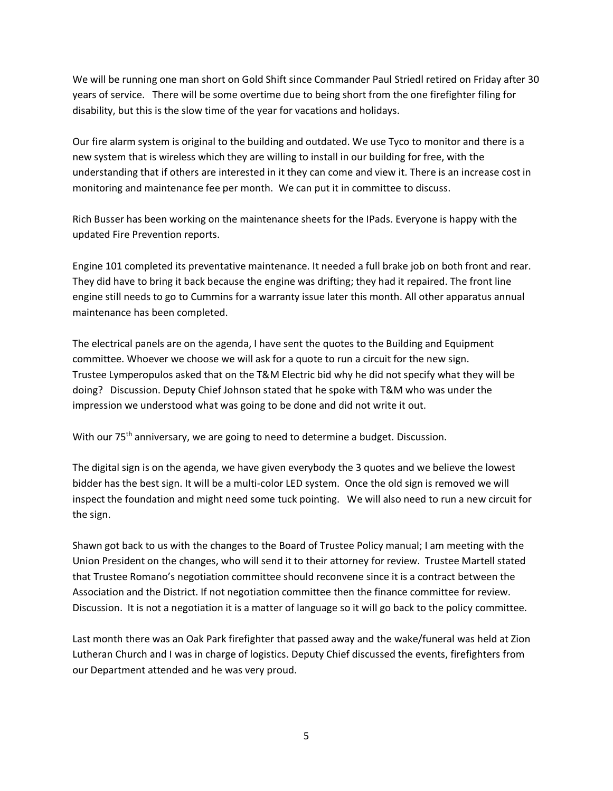We will be running one man short on Gold Shift since Commander Paul Striedl retired on Friday after 30 years of service. There will be some overtime due to being short from the one firefighter filing for disability, but this is the slow time of the year for vacations and holidays.

Our fire alarm system is original to the building and outdated. We use Tyco to monitor and there is a new system that is wireless which they are willing to install in our building for free, with the understanding that if others are interested in it they can come and view it. There is an increase cost in monitoring and maintenance fee per month. We can put it in committee to discuss.

Rich Busser has been working on the maintenance sheets for the IPads. Everyone is happy with the updated Fire Prevention reports.

Engine 101 completed its preventative maintenance. It needed a full brake job on both front and rear. They did have to bring it back because the engine was drifting; they had it repaired. The front line engine still needs to go to Cummins for a warranty issue later this month. All other apparatus annual maintenance has been completed.

The electrical panels are on the agenda, I have sent the quotes to the Building and Equipment committee. Whoever we choose we will ask for a quote to run a circuit for the new sign. Trustee Lymperopulos asked that on the T&M Electric bid why he did not specify what they will be doing? Discussion. Deputy Chief Johnson stated that he spoke with T&M who was under the impression we understood what was going to be done and did not write it out.

With our 75<sup>th</sup> anniversary, we are going to need to determine a budget. Discussion.

The digital sign is on the agenda, we have given everybody the 3 quotes and we believe the lowest bidder has the best sign. It will be a multi-color LED system. Once the old sign is removed we will inspect the foundation and might need some tuck pointing. We will also need to run a new circuit for the sign.

Shawn got back to us with the changes to the Board of Trustee Policy manual; I am meeting with the Union President on the changes, who will send it to their attorney for review. Trustee Martell stated that Trustee Romano's negotiation committee should reconvene since it is a contract between the Association and the District. If not negotiation committee then the finance committee for review. Discussion. It is not a negotiation it is a matter of language so it will go back to the policy committee.

Last month there was an Oak Park firefighter that passed away and the wake/funeral was held at Zion Lutheran Church and I was in charge of logistics. Deputy Chief discussed the events, firefighters from our Department attended and he was very proud.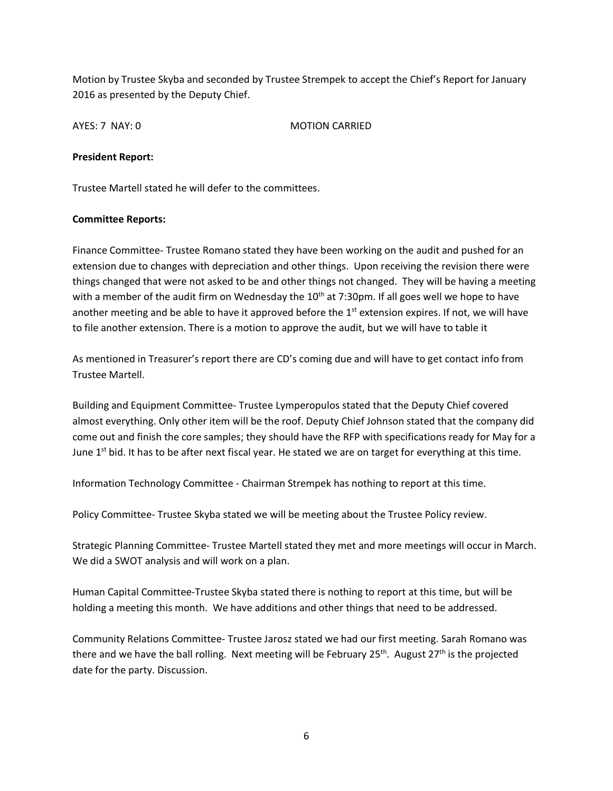Motion by Trustee Skyba and seconded by Trustee Strempek to accept the Chief's Report for January 2016 as presented by the Deputy Chief.

AYES: 7 NAY: 0 MOTION CARRIED

#### **President Report:**

Trustee Martell stated he will defer to the committees.

#### **Committee Reports:**

Finance Committee- Trustee Romano stated they have been working on the audit and pushed for an extension due to changes with depreciation and other things. Upon receiving the revision there were things changed that were not asked to be and other things not changed. They will be having a meeting with a member of the audit firm on Wednesday the  $10^{th}$  at 7:30pm. If all goes well we hope to have another meeting and be able to have it approved before the 1<sup>st</sup> extension expires. If not, we will have to file another extension. There is a motion to approve the audit, but we will have to table it

As mentioned in Treasurer's report there are CD's coming due and will have to get contact info from Trustee Martell.

Building and Equipment Committee- Trustee Lymperopulos stated that the Deputy Chief covered almost everything. Only other item will be the roof. Deputy Chief Johnson stated that the company did come out and finish the core samples; they should have the RFP with specifications ready for May for a June  $1<sup>st</sup>$  bid. It has to be after next fiscal year. He stated we are on target for everything at this time.

Information Technology Committee - Chairman Strempek has nothing to report at this time.

Policy Committee- Trustee Skyba stated we will be meeting about the Trustee Policy review.

Strategic Planning Committee- Trustee Martell stated they met and more meetings will occur in March. We did a SWOT analysis and will work on a plan.

Human Capital Committee-Trustee Skyba stated there is nothing to report at this time, but will be holding a meeting this month. We have additions and other things that need to be addressed.

Community Relations Committee- Trustee Jarosz stated we had our first meeting. Sarah Romano was there and we have the ball rolling. Next meeting will be February 25<sup>th</sup>. August 27<sup>th</sup> is the projected date for the party. Discussion.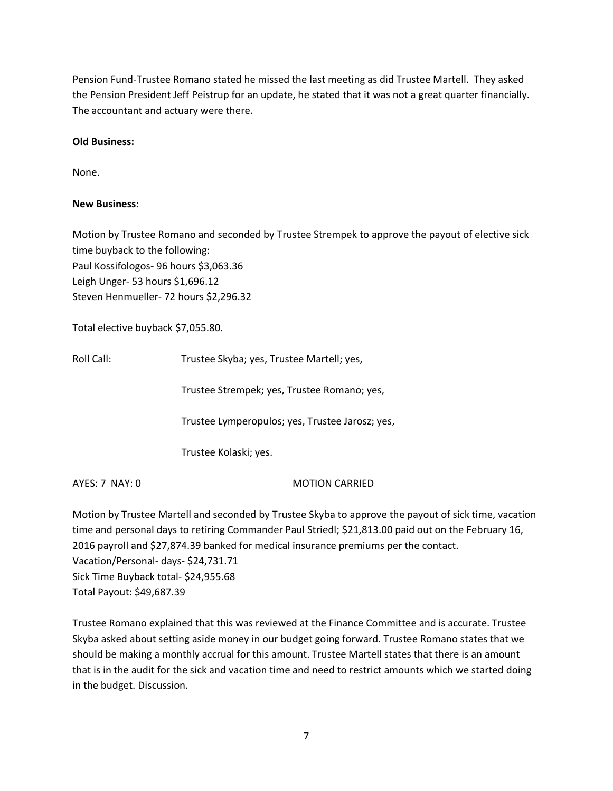Pension Fund-Trustee Romano stated he missed the last meeting as did Trustee Martell. They asked the Pension President Jeff Peistrup for an update, he stated that it was not a great quarter financially. The accountant and actuary were there.

## **Old Business:**

None.

# **New Business**:

Motion by Trustee Romano and seconded by Trustee Strempek to approve the payout of elective sick time buyback to the following: Paul Kossifologos- 96 hours \$3,063.36 Leigh Unger- 53 hours \$1,696.12 Steven Henmueller- 72 hours \$2,296.32

Total elective buyback \$7,055.80.

Roll Call: Trustee Skyba; yes, Trustee Martell; yes,

Trustee Strempek; yes, Trustee Romano; yes,

Trustee Lymperopulos; yes, Trustee Jarosz; yes,

Trustee Kolaski; yes.

AYES: 7 NAY: 0 MOTION CARRIED

Motion by Trustee Martell and seconded by Trustee Skyba to approve the payout of sick time, vacation time and personal days to retiring Commander Paul Striedl; \$21,813.00 paid out on the February 16, 2016 payroll and \$27,874.39 banked for medical insurance premiums per the contact. Vacation/Personal- days- \$24,731.71 Sick Time Buyback total- \$24,955.68 Total Payout: \$49,687.39

Trustee Romano explained that this was reviewed at the Finance Committee and is accurate. Trustee Skyba asked about setting aside money in our budget going forward. Trustee Romano states that we should be making a monthly accrual for this amount. Trustee Martell states that there is an amount that is in the audit for the sick and vacation time and need to restrict amounts which we started doing in the budget. Discussion.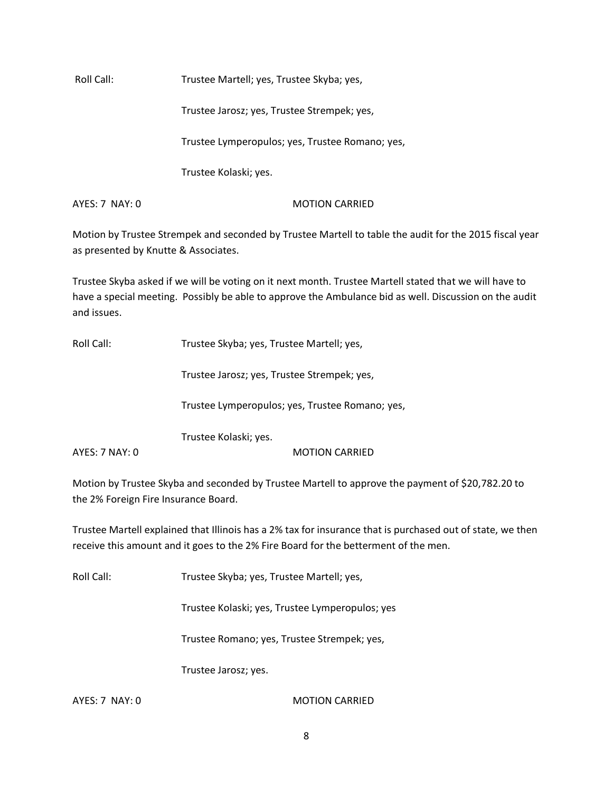Roll Call: Trustee Martell; yes, Trustee Skyba; yes,

Trustee Jarosz; yes, Trustee Strempek; yes,

Trustee Lymperopulos; yes, Trustee Romano; yes,

Trustee Kolaski; yes.

AYES: 7 NAY: 0 MOTION CARRIED

Motion by Trustee Strempek and seconded by Trustee Martell to table the audit for the 2015 fiscal year as presented by Knutte & Associates.

Trustee Skyba asked if we will be voting on it next month. Trustee Martell stated that we will have to have a special meeting. Possibly be able to approve the Ambulance bid as well. Discussion on the audit and issues.

Roll Call: Trustee Skyba; yes, Trustee Martell; yes,

Trustee Jarosz; yes, Trustee Strempek; yes,

Trustee Lymperopulos; yes, Trustee Romano; yes,

Trustee Kolaski; yes.

AYES: 7 NAY: 0 MOTION CARRIED

Motion by Trustee Skyba and seconded by Trustee Martell to approve the payment of \$20,782.20 to the 2% Foreign Fire Insurance Board.

Trustee Martell explained that Illinois has a 2% tax for insurance that is purchased out of state, we then receive this amount and it goes to the 2% Fire Board for the betterment of the men.

Roll Call: Trustee Skyba; yes, Trustee Martell; yes,

Trustee Kolaski; yes, Trustee Lymperopulos; yes

Trustee Romano; yes, Trustee Strempek; yes,

Trustee Jarosz; yes.

AYES: 7 NAY: 0 MOTION CARRIED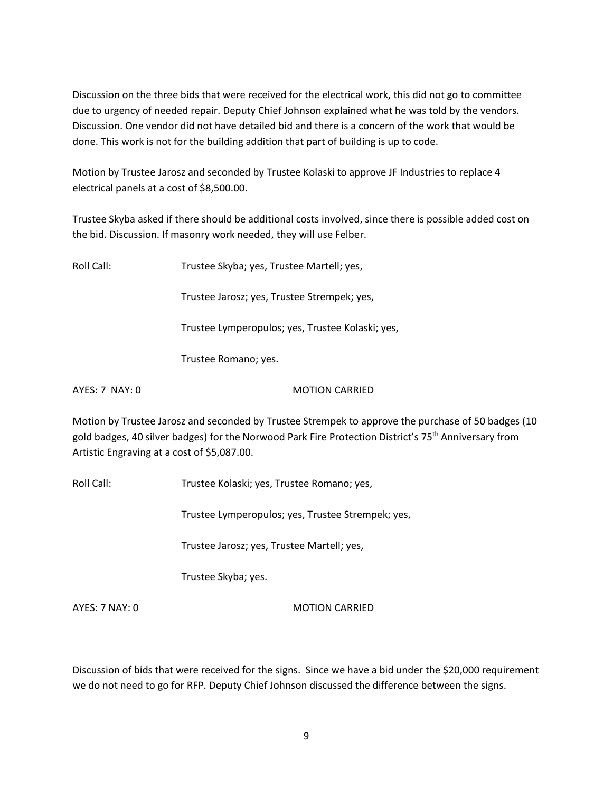Discussion on the three bids that were received for the electrical work, this did not go to committee due to urgency of needed repair. Deputy Chief Johnson explained what he was told by the vendors. Discussion. One vendor did not have detailed bid and there is a concern of the work that would be done. This work is not for the building addition that part of building is up to code.

Motion by Trustee Jarosz and seconded by Trustee Kolaski to approve JF Industries to replace 4 electrical panels at a cost of \$8,500.00.

Trustee Skyba asked if there should be additional costs involved, since there is possible added cost on the bid. Discussion. If masonry work needed, they will use Felber.

| Roll Call:       | Trustee Skyba; yes, Trustee Martell; yes,                                                                                                                                                                              |
|------------------|------------------------------------------------------------------------------------------------------------------------------------------------------------------------------------------------------------------------|
|                  | Trustee Jarosz; yes, Trustee Strempek; yes,                                                                                                                                                                            |
|                  | Trustee Lymperopulos; yes, Trustee Kolaski; yes,                                                                                                                                                                       |
|                  | Trustee Romano; yes.                                                                                                                                                                                                   |
| $AYES: 7$ NAY: 0 | <b>MOTION CARRIED</b>                                                                                                                                                                                                  |
|                  | Motion by Trustee Jarosz and seconded by Trustee Strempek to approve the purchase of 50 badges (10<br>gold badges, 40 silver badges) for the Norwood Park Fire Protection District's 75 <sup>th</sup> Anniversary from |

Artistic Engraving at a cost of \$5,087.00.

Roll Call: Trustee Kolaski; yes, Trustee Romano; yes,

Trustee Lymperopulos; yes, Trustee Strempek; yes,

Trustee Jarosz; yes, Trustee Martell; yes,

Trustee Skyba; yes.

AYES: 7 NAY: 0 MOTION CARRIED

Discussion of bids that were received for the signs. Since we have a bid under the \$20,000 requirement we do not need to go for RFP. Deputy Chief Johnson discussed the difference between the signs.